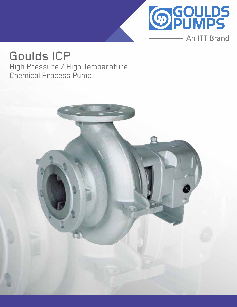

### Goulds ICP High Pressure / High Temperature Chemical Process Pump

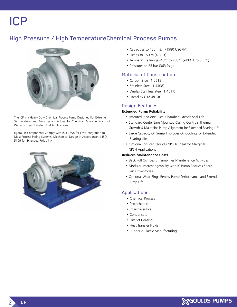# ICP

### High Pressure / High TemperatureChemical Process Pumps



The ICP Is a Heavy Duty Chemical Process Pump Designed For Extreme Temperatures and Pressures and is Ideal for Chemical, Petrochemical, Hot Water or Heat Transfer Fluid Applications.

Hydraulic Components Comply with ISO 2858 for Easy Integration to Most Process Piping Systems. Mechanical Design In Accordance to ISO 5199 for Extended Reliability.



- Capacities to 450 m3/h (1980 USGPM)
- Heads to 150 m (492 Ft)
- Temperature Range -40°C to 280°C (-40°C F to 535°F)
- Pressures to 25 bar (363 Psig)

#### Material of Construction

- Carbon Steel (1.0619)
- Stainless Steel (1.4408)
- Duplex Stainless Steel (1.4517)
- Hastelloy C (2.4810)

#### Design Features

#### **Extended Pump Reliability**

- Patented "Cyclone" Seal Chamber Extends Seal Life
- Standard Center-Line Mounted Casing Controls Thermal Growth & Maintains Pump Alignment for Extended Bearing Life
- Large Capacity Oil Sump Improves Oil Cooling for Extended Bearing Life
- Optional Inducer Reduces NPSHr, Ideal for Marginal NPSH Applications

#### **Reduces Maintenance Costs**

- Back Pull Out Design Simplifies Maintenance Activities
- Modular Interchangeability with IC Pump Reduces Spare Parts Inventories
- Optional Wear Rings Renew Pump Performance and Extend Pump Life

### Applications

- Chemical Process
- Petrochemical
- Pharmaceutical
- Condensate
- District Heating
- Heat Transfer Fluids
- Rubber & Plastic Manufacturing

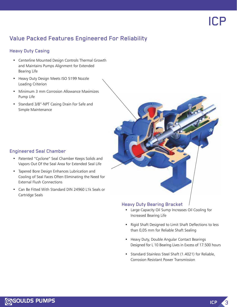# ICP

### Value Packed Features Engineered For Reliability

### Heavy Duty Casing

- Centerline Mounted Design Controls Thermal Growth and Maintains Pumps Alignment for Extended Bearing Life
- Heavy Duty Design Meets ISO 5199 Nozzle Loading Criterion
- Minimum 3 mm Corrosion Allowance Maximizes Pump Life
- Standard 3/8"-NPT Casing Drain For Safe and Simple Maintenance



- Patented "Cyclone" Seal Chamber Keeps Solids and Vapors Out Of the Seal Area for Extended Seal Life
- Tapered Bore Design Enhances Lubrication and Cooling of Seal Faces Often Eliminating the Need for External Flush Connections
- Can Be Fitted With Standard DIN 24960 L1k Seals or Cartridge Seals



### Heavy Duty Bearing Bracket

- Large Capacity Oil Sump Increases Oil Cooling for Increased Bearing Life
- Rigid Shaft Designed to Limit Shaft Deflections to less than 0,05 mm for Reliable Shaft Sealing
- Heavy Duty, Double Angular Contact Bearings Designed for L 10 Bearing Lives in Excess of 17.500 hours
- Standard Stainless Steel Shaft (1.4021) for Reliable, Corrosion Resistant Power Transmission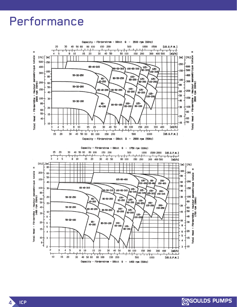## **Performance**



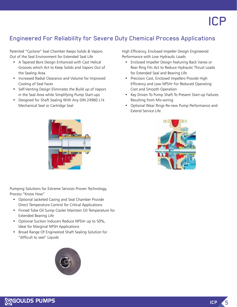# ICP

### Engineered For Reliability for Severe Duty Chemical Process Applications

Patented "Cyclone" Seal Chamber Keeps Solids & Vapors Out of the Seal Environment for Extended Seal Life

- A Tapered Bore Design Enhanced with Cast Helical Grooves which Act to Keep Solids and Vapors Out of the Sealing Area
- Increased Radial Clearance and Volume for Improved Cooling of Seal Faces
- Self-Venting Design Eliminates the Build up of Vapors in the Seal Area while Simplifying Pump Start-ups
- Designed for Shaft Sealing With Any DIN 24960 L1k Mechanical Seal or Cartridge Seal



Pumping Solutions for Extreme Services Proven Technology, Process "Know How"

- Optional Jacketed Casing and Seal Chamber Provide Direct Temperature Control for Critical Applications
- Finned Tube Oil Sump Cooler Maintain Oil Temperature for Extended Bearing Life
- Optional Suction Inducers Reduce NPSHr up to 50%, Ideal for Marginal NPSH Applications
- Broad Range Of Engineered Shaft Sealing Solution for "difficult to seal" Liquids



High Efficiency, Enclosed Impeller Design Engineered Performance with Low Hydraulic Loads

- Enclosed Impeller Design Featuring Back Vanes or Rear Ring Fits Act to Reduce Hydraulic Thrust Loads for Extended Seal and Bearing Life
- Precision Cast, Enclosed Impellers Provide High Efficiency and Low NPSHr For Reduced Operating Cost and Smooth Operation
- Key Driven To Pump Shaft To Prevent Start-up Failures Resulting from Mis-wiring
- Optional Wear Rings Re-new Pump Performance and Extend Service Life



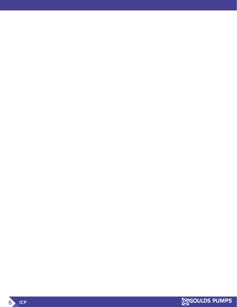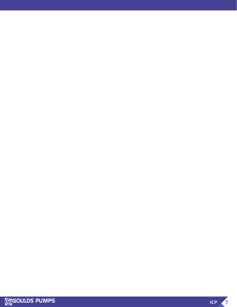